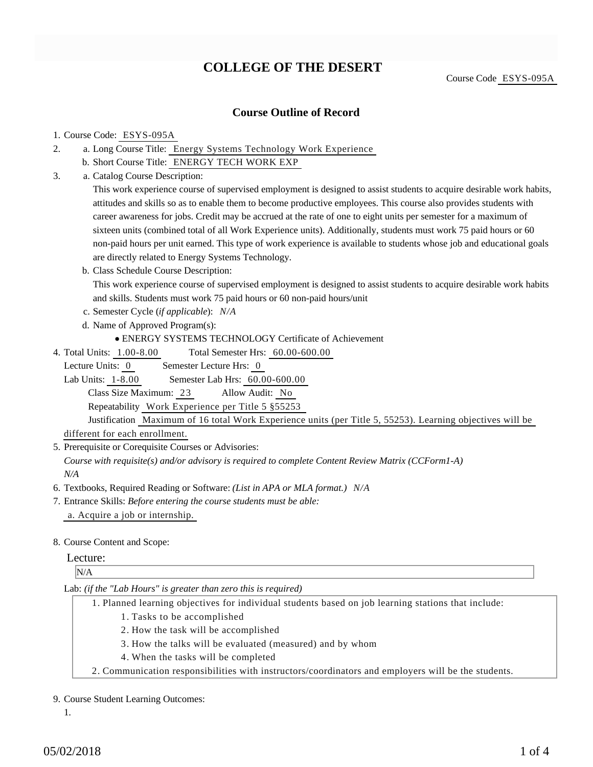## **COLLEGE OF THE DESERT**

Course Code ESYS-095A

### **Course Outline of Record**

#### 1. Course Code: ESYS-095A

- a. Long Course Title: Energy Systems Technology Work Experience 2.
	- b. Short Course Title: ENERGY TECH WORK EXP
- Catalog Course Description: a. 3.

This work experience course of supervised employment is designed to assist students to acquire desirable work habits, attitudes and skills so as to enable them to become productive employees. This course also provides students with career awareness for jobs. Credit may be accrued at the rate of one to eight units per semester for a maximum of sixteen units (combined total of all Work Experience units). Additionally, students must work 75 paid hours or 60 non-paid hours per unit earned. This type of work experience is available to students whose job and educational goals are directly related to Energy Systems Technology.

b. Class Schedule Course Description:

This work experience course of supervised employment is designed to assist students to acquire desirable work habits and skills. Students must work 75 paid hours or 60 non-paid hours/unit

- c. Semester Cycle (*if applicable*): *N/A*
- d. Name of Approved Program(s):
	- ENERGY SYSTEMS TECHNOLOGY Certificate of Achievement
- Total Semester Hrs: 60.00-600.00 4. Total Units: 1.00-8.00
- Lecture Units: 0 Semester Lecture Hrs: 0

Lab Units: 1-8.00 Semester Lab Hrs: 60.00-600.00

Class Size Maximum: 23 Allow Audit: No

Repeatability Work Experience per Title 5 §55253

Justification Maximum of 16 total Work Experience units (per Title 5, 55253). Learning objectives will be different for each enrollment.

5. Prerequisite or Corequisite Courses or Advisories:

*Course with requisite(s) and/or advisory is required to complete Content Review Matrix (CCForm1-A) N/A*

6. Textbooks, Required Reading or Software: *(List in APA or MLA format.) N/A*

Entrance Skills: *Before entering the course students must be able:* 7. a. Acquire a job or internship.

#### 8. Course Content and Scope:

#### Lecture:

N/A

#### Lab: *(if the "Lab Hours" is greater than zero this is required)*

- Planned learning objectives for individual students based on job learning stations that include: 1.
	- 1. Tasks to be accomplished
	- 2. How the task will be accomplished
	- 3. How the talks will be evaluated (measured) and by whom
	- 4. When the tasks will be completed
- 2. Communication responsibilities with instructors/coordinators and employers will be the students.

#### 9. Course Student Learning Outcomes:

1.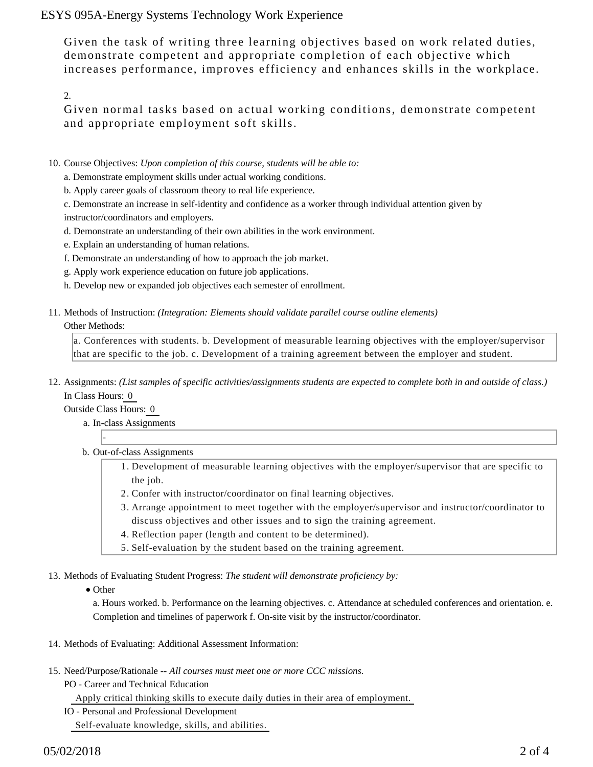ESYS 095A-Energy Systems Technology Work Experience

Given the task of writing three learning objectives based on work related duties, demonstrate competent and appropriate completion of each objective which increases performance, improves efficiency and enhances skills in the workplace.

2.

Given normal tasks based on actual working conditions, demonstrate competent and appropriate employment soft skills.

- 10. Course Objectives: Upon completion of this course, students will be able to:
	- a. Demonstrate employment skills under actual working conditions.
	- b. Apply career goals of classroom theory to real life experience.
	- c. Demonstrate an increase in self-identity and confidence as a worker through individual attention given by instructor/coordinators and employers.
	- d. Demonstrate an understanding of their own abilities in the work environment.
	- e. Explain an understanding of human relations.
	- f. Demonstrate an understanding of how to approach the job market.
	- g. Apply work experience education on future job applications.
	- h. Develop new or expanded job objectives each semester of enrollment.
- 11. Methods of Instruction: *(Integration: Elements should validate parallel course outline elements)* Other Methods:

a. Conferences with students. b. Development of measurable learning objectives with the employer/supervisor that are specific to the job. c. Development of a training agreement between the employer and student.

12. Assignments: (List samples of specific activities/assignments students are expected to complete both in and outside of class.) In Class Hours: 0

Outside Class Hours: 0

-

- a. In-class Assignments
- b. Out-of-class Assignments
	- 1. Development of measurable learning objectives with the employer/supervisor that are specific to the job.
	- 2. Confer with instructor/coordinator on final learning objectives.
	- Arrange appointment to meet together with the employer/supervisor and instructor/coordinator to 3. discuss objectives and other issues and to sign the training agreement.
	- 4. Reflection paper (length and content to be determined).
	- 5. Self-evaluation by the student based on the training agreement.
- 13. Methods of Evaluating Student Progress: The student will demonstrate proficiency by:
	- Other

a. Hours worked. b. Performance on the learning objectives. c. Attendance at scheduled conferences and orientation. e. Completion and timelines of paperwork f. On-site visit by the instructor/coordinator.

- 14. Methods of Evaluating: Additional Assessment Information:
- 15. Need/Purpose/Rationale -- All courses must meet one or more CCC missions.
	- PO Career and Technical Education Apply critical thinking skills to execute daily duties in their area of employment. IO - Personal and Professional Development

Self-evaluate knowledge, skills, and abilities.